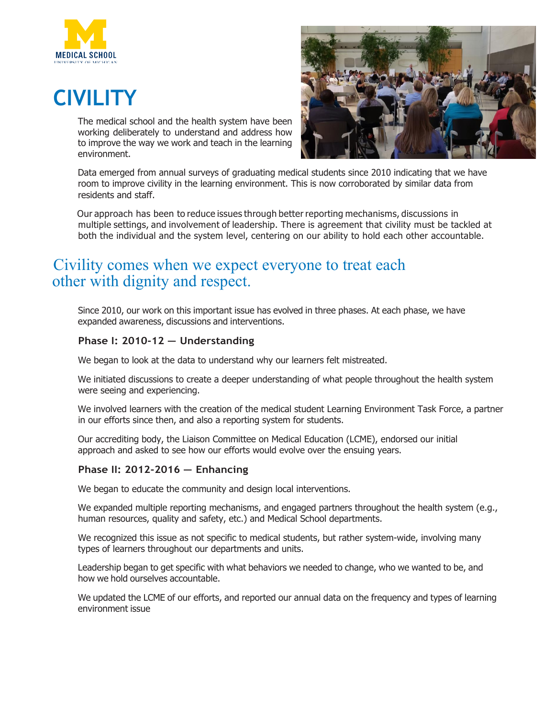

# **CIVILITY**

The medical school and the health system have been working deliberately to understand and address how to improve the way we work and teach in the learning environment.



Data emerged from annual surveys of graduating medical students since 2010 indicating that we have room to improve civility in the learning environment. This is now corroborated by similar data from residents and staff.

Our approach has been to reduce issues through better reporting mechanisms, discussions in multiple settings, and involvement of leadership. There is agreement that civility must be tackled at both the individual and the system level, centering on our ability to hold each other accountable.

# Civility comes when we expect everyone to treat each other with dignity and respect.

Since 2010, our work on this important issue has evolved in three phases. At each phase, we have expanded awareness, discussions and interventions.

### **Phase I: 2010-12 — Understanding**

We began to look at the data to understand why our learners felt mistreated.

We initiated discussions to create a deeper understanding of what people throughout the health system were seeing and experiencing.

We involved learners with the creation of the medical student Learning Environment Task Force, a partner in our efforts since then, and also a reporting system for students.

Our accrediting body, the Liaison Committee on Medical Education (LCME), endorsed our initial approach and asked to see how our efforts would evolve over the ensuing years.

#### **Phase II: 2012-2016 — Enhancing**

We began to educate the community and design local interventions.

We expanded multiple reporting mechanisms, and engaged partners throughout the health system (e.g., human resources, quality and safety, etc.) and Medical School departments.

We recognized this issue as not specific to medical students, but rather system-wide, involving many types of learners throughout our departments and units.

Leadership began to get specific with what behaviors we needed to change, who we wanted to be, and how we hold ourselves accountable.

We updated the LCME of our efforts, and reported our annual data on the frequency and types of learning environment issue